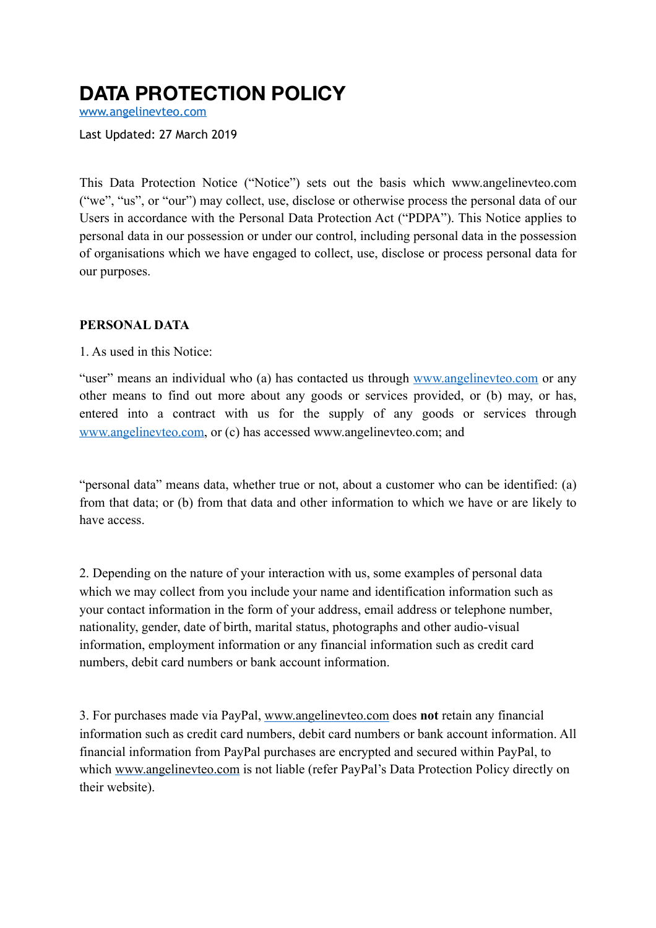# **DATA PROTECTION POLICY**

[www.angelinevteo.com](http://www.angelinevteo.com)

Last Updated: 27 March 2019

This Data Protection Notice ("Notice") sets out the basis which www.angelinevteo.com ("we", "us", or "our") may collect, use, disclose or otherwise process the personal data of our Users in accordance with the Personal Data Protection Act ("PDPA"). This Notice applies to personal data in our possession or under our control, including personal data in the possession of organisations which we have engaged to collect, use, disclose or process personal data for our purposes.

#### **PERSONAL DATA**

1. As used in this Notice:

"user" means an individual who (a) has contacted us through [www.angelinevteo.com](http://www.angelinevteo.com) or any other means to find out more about any goods or services provided, or (b) may, or has, entered into a contract with us for the supply of any goods or services through [www.angelinevteo.com](http://www.angelinevteo.com), or (c) has accessed www.angelinevteo.com; and

"personal data" means data, whether true or not, about a customer who can be identified: (a) from that data; or (b) from that data and other information to which we have or are likely to have access.

2. Depending on the nature of your interaction with us, some examples of personal data which we may collect from you include your name and identification information such as your contact information in the form of your address, email address or telephone number, nationality, gender, date of birth, marital status, photographs and other audio-visual information, employment information or any financial information such as credit card numbers, debit card numbers or bank account information.

3. For purchases made via PayPal, [www.angelinevteo.com](http://www.angelinevteo.com) does **not** retain any financial information such as credit card numbers, debit card numbers or bank account information. All financial information from PayPal purchases are encrypted and secured within PayPal, to which [www.angelinevteo.com](http://www.angelinevteo.com) is not liable (refer PayPal's Data Protection Policy directly on their website).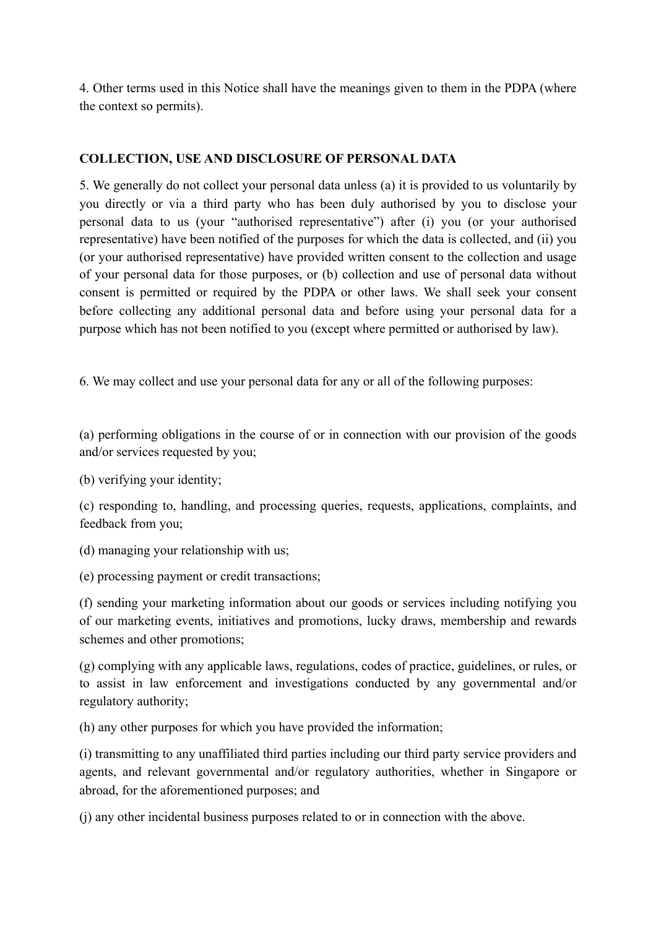4. Other terms used in this Notice shall have the meanings given to them in the PDPA (where the context so permits).

# **COLLECTION, USE AND DISCLOSURE OF PERSONAL DATA**

5. We generally do not collect your personal data unless (a) it is provided to us voluntarily by you directly or via a third party who has been duly authorised by you to disclose your personal data to us (your "authorised representative") after (i) you (or your authorised representative) have been notified of the purposes for which the data is collected, and (ii) you (or your authorised representative) have provided written consent to the collection and usage of your personal data for those purposes, or (b) collection and use of personal data without consent is permitted or required by the PDPA or other laws. We shall seek your consent before collecting any additional personal data and before using your personal data for a purpose which has not been notified to you (except where permitted or authorised by law).

6. We may collect and use your personal data for any or all of the following purposes:

(a) performing obligations in the course of or in connection with our provision of the goods and/or services requested by you;

(b) verifying your identity;

(c) responding to, handling, and processing queries, requests, applications, complaints, and feedback from you;

(d) managing your relationship with us;

(e) processing payment or credit transactions;

(f) sending your marketing information about our goods or services including notifying you of our marketing events, initiatives and promotions, lucky draws, membership and rewards schemes and other promotions;

(g) complying with any applicable laws, regulations, codes of practice, guidelines, or rules, or to assist in law enforcement and investigations conducted by any governmental and/or regulatory authority;

(h) any other purposes for which you have provided the information;

(i) transmitting to any unaffiliated third parties including our third party service providers and agents, and relevant governmental and/or regulatory authorities, whether in Singapore or abroad, for the aforementioned purposes; and

(j) any other incidental business purposes related to or in connection with the above.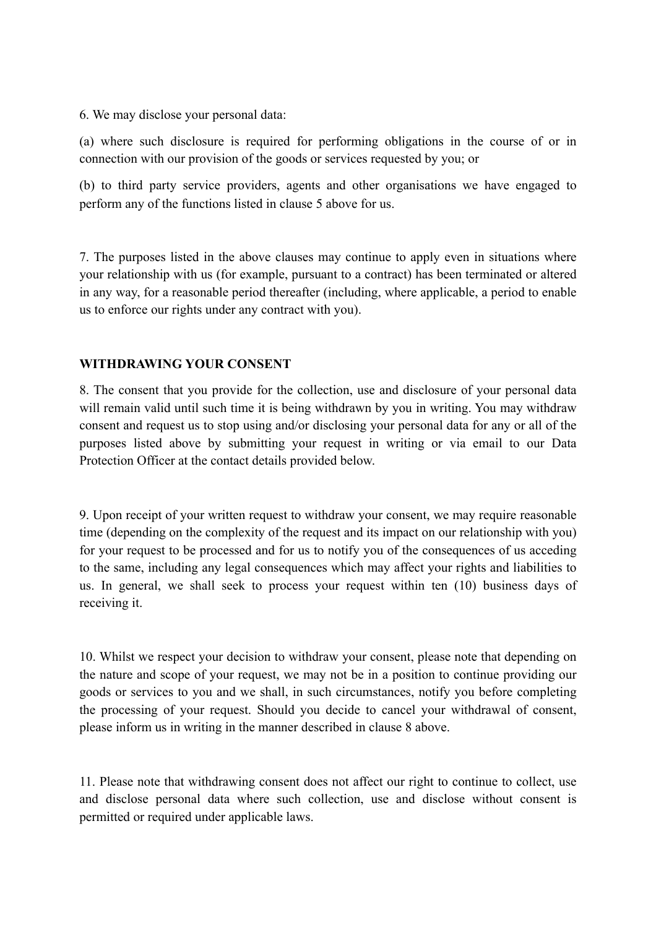6. We may disclose your personal data:

(a) where such disclosure is required for performing obligations in the course of or in connection with our provision of the goods or services requested by you; or

(b) to third party service providers, agents and other organisations we have engaged to perform any of the functions listed in clause 5 above for us.

7. The purposes listed in the above clauses may continue to apply even in situations where your relationship with us (for example, pursuant to a contract) has been terminated or altered in any way, for a reasonable period thereafter (including, where applicable, a period to enable us to enforce our rights under any contract with you).

# **WITHDRAWING YOUR CONSENT**

8. The consent that you provide for the collection, use and disclosure of your personal data will remain valid until such time it is being withdrawn by you in writing. You may withdraw consent and request us to stop using and/or disclosing your personal data for any or all of the purposes listed above by submitting your request in writing or via email to our Data Protection Officer at the contact details provided below.

9. Upon receipt of your written request to withdraw your consent, we may require reasonable time (depending on the complexity of the request and its impact on our relationship with you) for your request to be processed and for us to notify you of the consequences of us acceding to the same, including any legal consequences which may affect your rights and liabilities to us. In general, we shall seek to process your request within ten (10) business days of receiving it.

10. Whilst we respect your decision to withdraw your consent, please note that depending on the nature and scope of your request, we may not be in a position to continue providing our goods or services to you and we shall, in such circumstances, notify you before completing the processing of your request. Should you decide to cancel your withdrawal of consent, please inform us in writing in the manner described in clause 8 above.

11. Please note that withdrawing consent does not affect our right to continue to collect, use and disclose personal data where such collection, use and disclose without consent is permitted or required under applicable laws.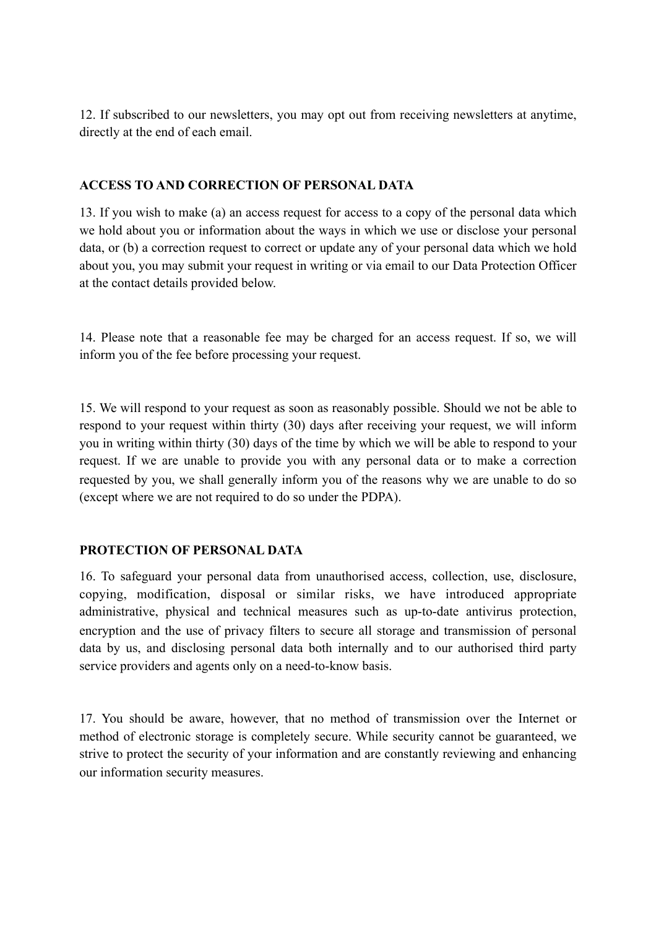12. If subscribed to our newsletters, you may opt out from receiving newsletters at anytime, directly at the end of each email.

# **ACCESS TO AND CORRECTION OF PERSONAL DATA**

13. If you wish to make (a) an access request for access to a copy of the personal data which we hold about you or information about the ways in which we use or disclose your personal data, or (b) a correction request to correct or update any of your personal data which we hold about you, you may submit your request in writing or via email to our Data Protection Officer at the contact details provided below.

14. Please note that a reasonable fee may be charged for an access request. If so, we will inform you of the fee before processing your request.

15. We will respond to your request as soon as reasonably possible. Should we not be able to respond to your request within thirty (30) days after receiving your request, we will inform you in writing within thirty (30) days of the time by which we will be able to respond to your request. If we are unable to provide you with any personal data or to make a correction requested by you, we shall generally inform you of the reasons why we are unable to do so (except where we are not required to do so under the PDPA).

# **PROTECTION OF PERSONAL DATA**

16. To safeguard your personal data from unauthorised access, collection, use, disclosure, copying, modification, disposal or similar risks, we have introduced appropriate administrative, physical and technical measures such as up-to-date antivirus protection, encryption and the use of privacy filters to secure all storage and transmission of personal data by us, and disclosing personal data both internally and to our authorised third party service providers and agents only on a need-to-know basis.

17. You should be aware, however, that no method of transmission over the Internet or method of electronic storage is completely secure. While security cannot be guaranteed, we strive to protect the security of your information and are constantly reviewing and enhancing our information security measures.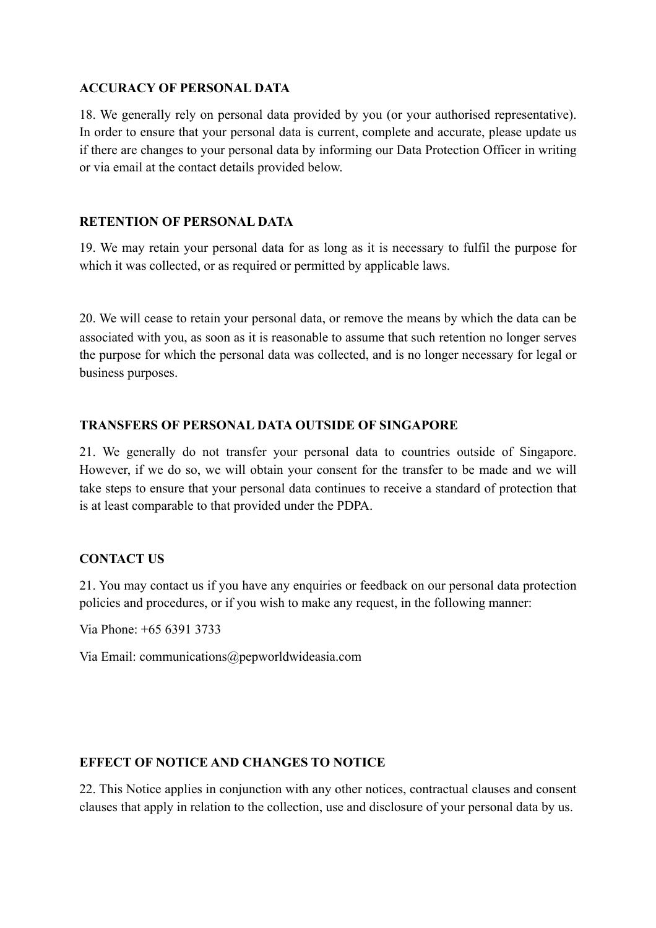#### **ACCURACY OF PERSONAL DATA**

18. We generally rely on personal data provided by you (or your authorised representative). In order to ensure that your personal data is current, complete and accurate, please update us if there are changes to your personal data by informing our Data Protection Officer in writing or via email at the contact details provided below.

# **RETENTION OF PERSONAL DATA**

19. We may retain your personal data for as long as it is necessary to fulfil the purpose for which it was collected, or as required or permitted by applicable laws.

20. We will cease to retain your personal data, or remove the means by which the data can be associated with you, as soon as it is reasonable to assume that such retention no longer serves the purpose for which the personal data was collected, and is no longer necessary for legal or business purposes.

# **TRANSFERS OF PERSONAL DATA OUTSIDE OF SINGAPORE**

21. We generally do not transfer your personal data to countries outside of Singapore. However, if we do so, we will obtain your consent for the transfer to be made and we will take steps to ensure that your personal data continues to receive a standard of protection that is at least comparable to that provided under the PDPA.

# **CONTACT US**

21. You may contact us if you have any enquiries or feedback on our personal data protection policies and procedures, or if you wish to make any request, in the following manner:

Via Phone: +65 6391 3733

Via Email: communications@pepworldwideasia.com

# **EFFECT OF NOTICE AND CHANGES TO NOTICE**

22. This Notice applies in conjunction with any other notices, contractual clauses and consent clauses that apply in relation to the collection, use and disclosure of your personal data by us.